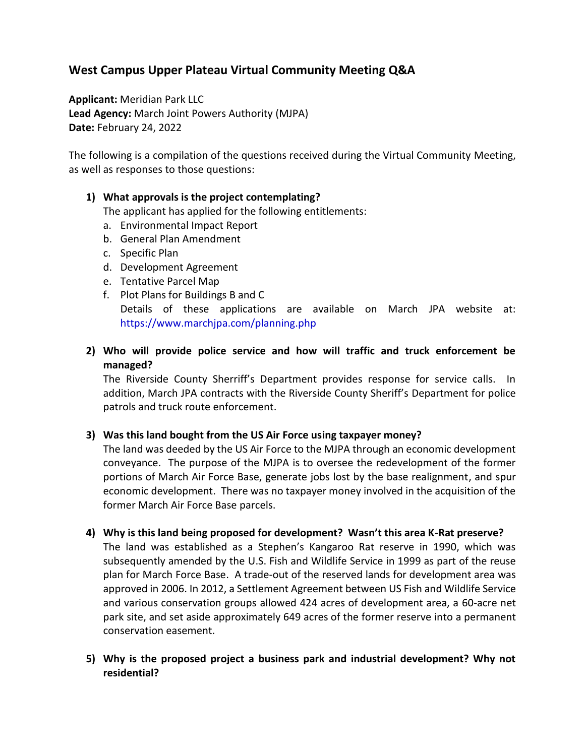# **West Campus Upper Plateau Virtual Community Meeting Q&A**

**Applicant:** Meridian Park LLC **Lead Agency:** March Joint Powers Authority (MJPA) **Date:** February 24, 2022

The following is a compilation of the questions received during the Virtual Community Meeting, as well as responses to those questions:

### **1) What approvals is the project contemplating?**

The applicant has applied for the following entitlements:

- a. Environmental Impact Report
- b. General Plan Amendment
- c. Specific Plan
- d. Development Agreement
- e. Tentative Parcel Map
- f. Plot Plans for Buildings B and C Details of these applications are available on March JPA website at: https://www.marchjpa.com/planning.php
- **2) Who will provide police service and how will traffic and truck enforcement be managed?**

The Riverside County Sherriff's Department provides response for service calls. In addition, March JPA contracts with the Riverside County Sheriff's Department for police patrols and truck route enforcement.

### **3) Was this land bought from the US Air Force using taxpayer money?**

The land was deeded by the US Air Force to the MJPA through an economic development conveyance. The purpose of the MJPA is to oversee the redevelopment of the former portions of March Air Force Base, generate jobs lost by the base realignment, and spur economic development. There was no taxpayer money involved in the acquisition of the former March Air Force Base parcels.

### **4) Why is this land being proposed for development? Wasn't this area K-Rat preserve?**

The land was established as a Stephen's Kangaroo Rat reserve in 1990, which was subsequently amended by the U.S. Fish and Wildlife Service in 1999 as part of the reuse plan for March Force Base. A trade-out of the reserved lands for development area was approved in 2006. In 2012, a Settlement Agreement between US Fish and Wildlife Service and various conservation groups allowed 424 acres of development area, a 60-acre net park site, and set aside approximately 649 acres of the former reserve into a permanent conservation easement.

**5) Why is the proposed project a business park and industrial development? Why not residential?**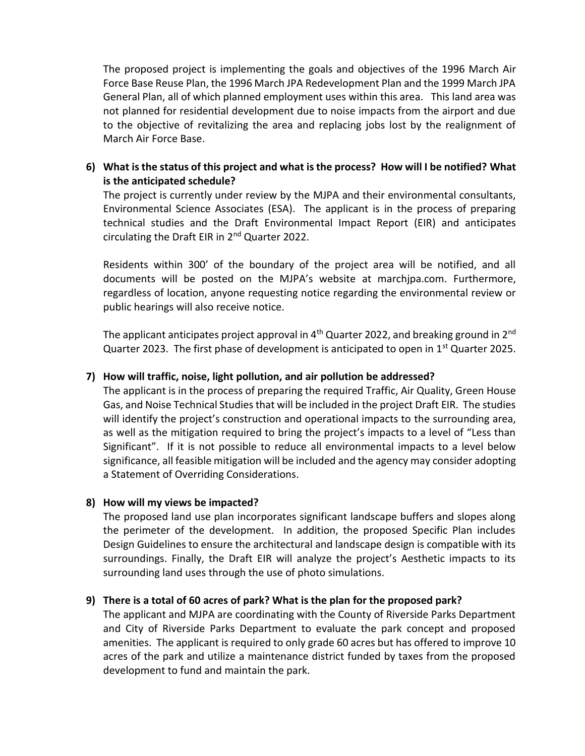The proposed project is implementing the goals and objectives of the 1996 March Air Force Base Reuse Plan, the 1996 March JPA Redevelopment Plan and the 1999 March JPA General Plan, all of which planned employment uses within this area. This land area was not planned for residential development due to noise impacts from the airport and due to the objective of revitalizing the area and replacing jobs lost by the realignment of March Air Force Base.

### **6) What is the status of this project and what is the process? How will I be notified? What is the anticipated schedule?**

The project is currently under review by the MJPA and their environmental consultants, Environmental Science Associates (ESA). The applicant is in the process of preparing technical studies and the Draft Environmental Impact Report (EIR) and anticipates circulating the Draft EIR in 2nd Quarter 2022.

Residents within 300' of the boundary of the project area will be notified, and all documents will be posted on the MJPA's website at marchjpa.com. Furthermore, regardless of location, anyone requesting notice regarding the environmental review or public hearings will also receive notice.

The applicant anticipates project approval in  $4<sup>th</sup>$  Quarter 2022, and breaking ground in  $2<sup>nd</sup>$ Quarter 2023. The first phase of development is anticipated to open in  $1<sup>st</sup>$  Quarter 2025.

### **7) How will traffic, noise, light pollution, and air pollution be addressed?**

The applicant is in the process of preparing the required Traffic, Air Quality, Green House Gas, and Noise Technical Studies that will be included in the project Draft EIR. The studies will identify the project's construction and operational impacts to the surrounding area, as well as the mitigation required to bring the project's impacts to a level of "Less than Significant". If it is not possible to reduce all environmental impacts to a level below significance, all feasible mitigation will be included and the agency may consider adopting a Statement of Overriding Considerations.

### **8) How will my views be impacted?**

The proposed land use plan incorporates significant landscape buffers and slopes along the perimeter of the development. In addition, the proposed Specific Plan includes Design Guidelines to ensure the architectural and landscape design is compatible with its surroundings. Finally, the Draft EIR will analyze the project's Aesthetic impacts to its surrounding land uses through the use of photo simulations.

## **9) There is a total of 60 acres of park? What is the plan for the proposed park?**

The applicant and MJPA are coordinating with the County of Riverside Parks Department and City of Riverside Parks Department to evaluate the park concept and proposed amenities. The applicant is required to only grade 60 acres but has offered to improve 10 acres of the park and utilize a maintenance district funded by taxes from the proposed development to fund and maintain the park.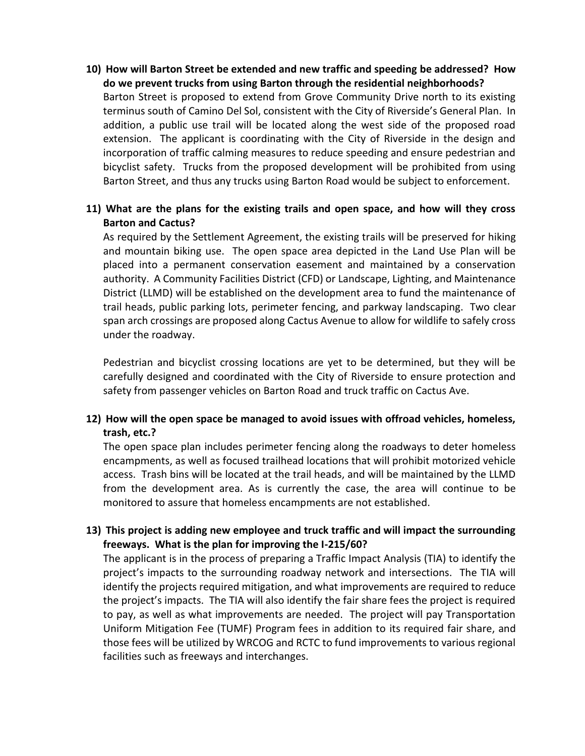**10) How will Barton Street be extended and new traffic and speeding be addressed? How do we prevent trucks from using Barton through the residential neighborhoods?**

Barton Street is proposed to extend from Grove Community Drive north to its existing terminus south of Camino Del Sol, consistent with the City of Riverside's General Plan. In addition, a public use trail will be located along the west side of the proposed road extension. The applicant is coordinating with the City of Riverside in the design and incorporation of traffic calming measures to reduce speeding and ensure pedestrian and bicyclist safety. Trucks from the proposed development will be prohibited from using Barton Street, and thus any trucks using Barton Road would be subject to enforcement.

### **11) What are the plans for the existing trails and open space, and how will they cross Barton and Cactus?**

As required by the Settlement Agreement, the existing trails will be preserved for hiking and mountain biking use. The open space area depicted in the Land Use Plan will be placed into a permanent conservation easement and maintained by a conservation authority. A Community Facilities District (CFD) or Landscape, Lighting, and Maintenance District (LLMD) will be established on the development area to fund the maintenance of trail heads, public parking lots, perimeter fencing, and parkway landscaping. Two clear span arch crossings are proposed along Cactus Avenue to allow for wildlife to safely cross under the roadway.

Pedestrian and bicyclist crossing locations are yet to be determined, but they will be carefully designed and coordinated with the City of Riverside to ensure protection and safety from passenger vehicles on Barton Road and truck traffic on Cactus Ave.

## **12) How will the open space be managed to avoid issues with offroad vehicles, homeless, trash, etc.?**

The open space plan includes perimeter fencing along the roadways to deter homeless encampments, as well as focused trailhead locations that will prohibit motorized vehicle access. Trash bins will be located at the trail heads, and will be maintained by the LLMD from the development area. As is currently the case, the area will continue to be monitored to assure that homeless encampments are not established.

## **13) This project is adding new employee and truck traffic and will impact the surrounding freeways. What is the plan for improving the I-215/60?**

The applicant is in the process of preparing a Traffic Impact Analysis (TIA) to identify the project's impacts to the surrounding roadway network and intersections. The TIA will identify the projects required mitigation, and what improvements are required to reduce the project's impacts. The TIA will also identify the fair share fees the project is required to pay, as well as what improvements are needed. The project will pay Transportation Uniform Mitigation Fee (TUMF) Program fees in addition to its required fair share, and those fees will be utilized by WRCOG and RCTC to fund improvements to various regional facilities such as freeways and interchanges.